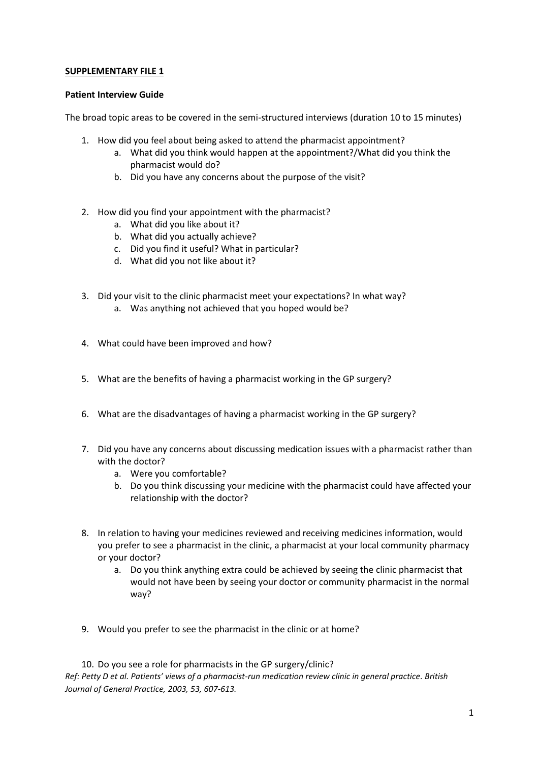## **SUPPLEMENTARY FILE 1**

## **Patient Interview Guide**

The broad topic areas to be covered in the semi-structured interviews (duration 10 to 15 minutes)

- 1. How did you feel about being asked to attend the pharmacist appointment?
	- a. What did you think would happen at the appointment?/What did you think the pharmacist would do?
	- b. Did you have any concerns about the purpose of the visit?
- 2. How did you find your appointment with the pharmacist?
	- a. What did you like about it?
	- b. What did you actually achieve?
	- c. Did you find it useful? What in particular?
	- d. What did you not like about it?
- 3. Did your visit to the clinic pharmacist meet your expectations? In what way?
	- a. Was anything not achieved that you hoped would be?
- 4. What could have been improved and how?
- 5. What are the benefits of having a pharmacist working in the GP surgery?
- 6. What are the disadvantages of having a pharmacist working in the GP surgery?
- 7. Did you have any concerns about discussing medication issues with a pharmacist rather than with the doctor?
	- a. Were you comfortable?
	- b. Do you think discussing your medicine with the pharmacist could have affected your relationship with the doctor?
- 8. In relation to having your medicines reviewed and receiving medicines information, would you prefer to see a pharmacist in the clinic, a pharmacist at your local community pharmacy or your doctor?
	- a. Do you think anything extra could be achieved by seeing the clinic pharmacist that would not have been by seeing your doctor or community pharmacist in the normal way?
- 9. Would you prefer to see the pharmacist in the clinic or at home?

10. Do you see a role for pharmacists in the GP surgery/clinic? *Ref: Petty D et al. Patients' views of a pharmacist-run medication review clinic in general practice. British Journal of General Practice, 2003, 53, 607-613.*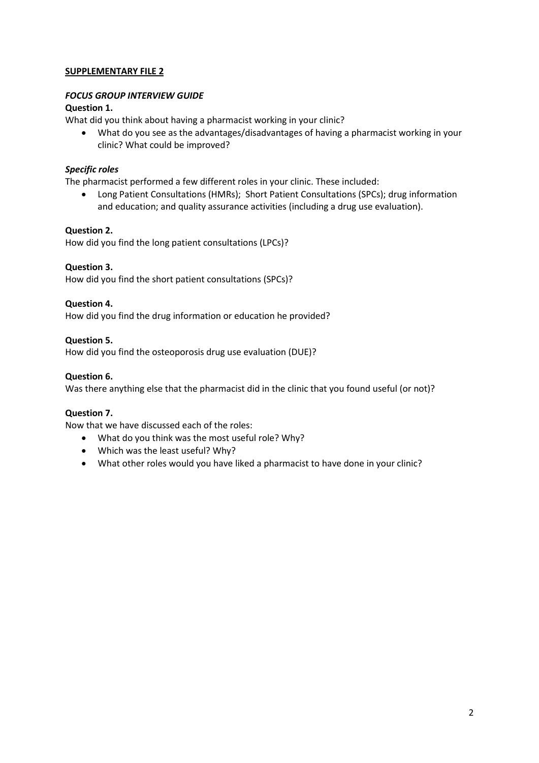# **SUPPLEMENTARY FILE 2**

## *FOCUS GROUP INTERVIEW GUIDE*

## **Question 1.**

What did you think about having a pharmacist working in your clinic?

 What do you see as the advantages/disadvantages of having a pharmacist working in your clinic? What could be improved?

## *Specific roles*

The pharmacist performed a few different roles in your clinic. These included:

 Long Patient Consultations (HMRs); Short Patient Consultations (SPCs); drug information and education; and quality assurance activities (including a drug use evaluation).

## **Question 2.**

How did you find the long patient consultations (LPCs)?

## **Question 3.**

How did you find the short patient consultations (SPCs)?

## **Question 4.**

How did you find the drug information or education he provided?

## **Question 5.**

How did you find the osteoporosis drug use evaluation (DUE)?

## **Question 6.**

Was there anything else that the pharmacist did in the clinic that you found useful (or not)?

# **Question 7.**

Now that we have discussed each of the roles:

- What do you think was the most useful role? Why?
- Which was the least useful? Why?
- What other roles would you have liked a pharmacist to have done in your clinic?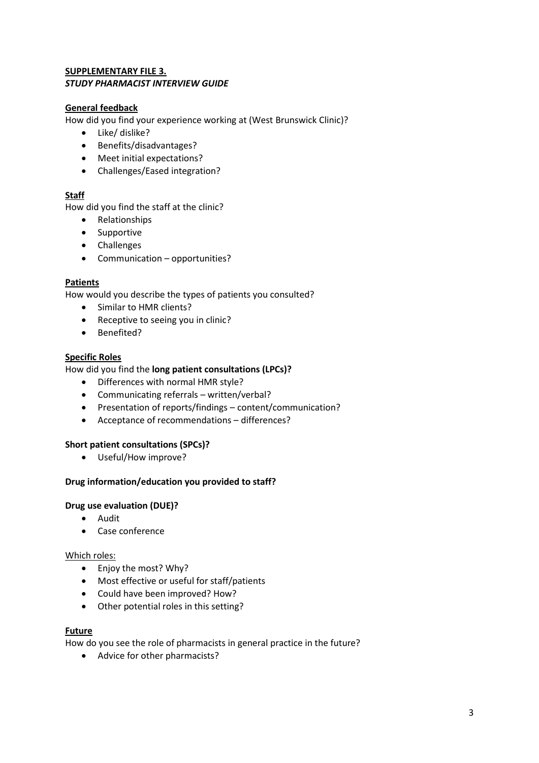## **SUPPLEMENTARY FILE 3.**  *STUDY PHARMACIST INTERVIEW GUIDE*

# **General feedback**

How did you find your experience working at (West Brunswick Clinic)?

- Like/ dislike?
- Benefits/disadvantages?
- Meet initial expectations?
- Challenges/Eased integration?

## **Staff**

How did you find the staff at the clinic?

- Relationships
- Supportive
- Challenges
- Communication opportunities?

## **Patients**

How would you describe the types of patients you consulted?

- Similar to HMR clients?
- Receptive to seeing you in clinic?
- Benefited?

# **Specific Roles**

## How did you find the **long patient consultations (LPCs)?**

- Differences with normal HMR style?
- Communicating referrals written/verbal?
- Presentation of reports/findings content/communication?
- Acceptance of recommendations differences?

## **Short patient consultations (SPCs)?**

Useful/How improve?

## **Drug information/education you provided to staff?**

## **Drug use evaluation (DUE)?**

- Audit
- Case conference

## Which roles:

- Enjoy the most? Why?
- Most effective or useful for staff/patients
- Could have been improved? How?
- Other potential roles in this setting?

## **Future**

How do you see the role of pharmacists in general practice in the future?

Advice for other pharmacists?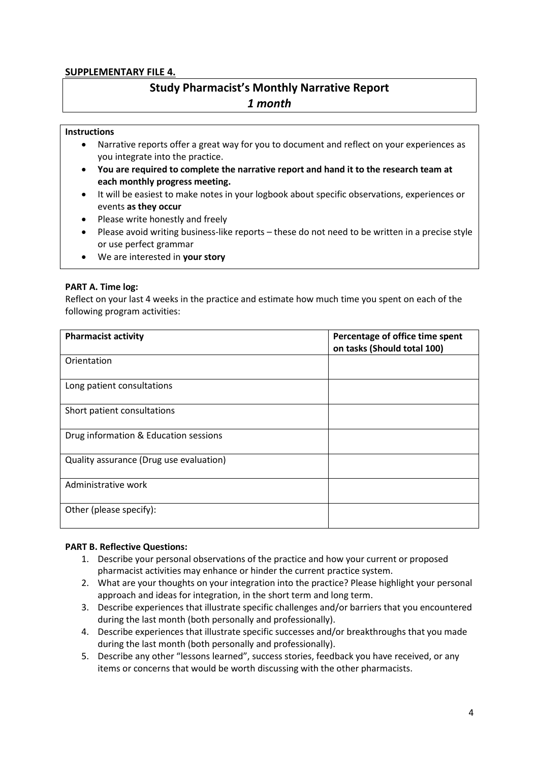# **SUPPLEMENTARY FILE 4.**

# **Study Pharmacist's Monthly Narrative Report** *1 month*

## **Instructions**

- Narrative reports offer a great way for you to document and reflect on your experiences as you integrate into the practice.
- **You are required to complete the narrative report and hand it to the research team at each monthly progress meeting.**
- It will be easiest to make notes in your logbook about specific observations, experiences or events **as they occur**
- Please write honestly and freely
- Please avoid writing business-like reports these do not need to be written in a precise style or use perfect grammar
- We are interested in **your story**

## **PART A. Time log:**

Reflect on your last 4 weeks in the practice and estimate how much time you spent on each of the following program activities:

| <b>Pharmacist activity</b>              | Percentage of office time spent<br>on tasks (Should total 100) |
|-----------------------------------------|----------------------------------------------------------------|
| Orientation                             |                                                                |
| Long patient consultations              |                                                                |
| Short patient consultations             |                                                                |
| Drug information & Education sessions   |                                                                |
| Quality assurance (Drug use evaluation) |                                                                |
| Administrative work                     |                                                                |
| Other (please specify):                 |                                                                |

## **PART B. Reflective Questions:**

- 1. Describe your personal observations of the practice and how your current or proposed pharmacist activities may enhance or hinder the current practice system.
- 2. What are your thoughts on your integration into the practice? Please highlight your personal approach and ideas for integration, in the short term and long term.
- 3. Describe experiences that illustrate specific challenges and/or barriers that you encountered during the last month (both personally and professionally).
- 4. Describe experiences that illustrate specific successes and/or breakthroughs that you made during the last month (both personally and professionally).
- 5. Describe any other "lessons learned", success stories, feedback you have received, or any items or concerns that would be worth discussing with the other pharmacists.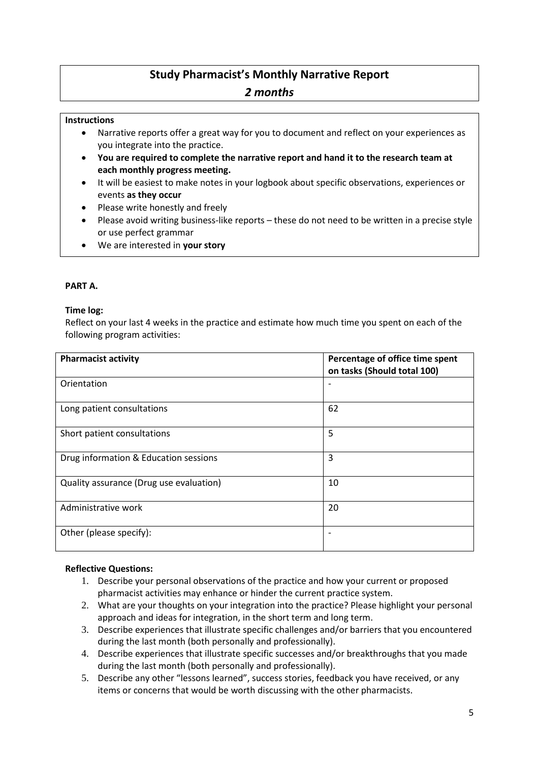# **Study Pharmacist's Monthly Narrative Report** *2 months*

# **Instructions**

- Narrative reports offer a great way for you to document and reflect on your experiences as you integrate into the practice.
- **You are required to complete the narrative report and hand it to the research team at each monthly progress meeting.**
- It will be easiest to make notes in your logbook about specific observations, experiences or events **as they occur**
- Please write honestly and freely
- Please avoid writing business-like reports these do not need to be written in a precise style or use perfect grammar
- We are interested in **your story**

# **PART A.**

## **Time log:**

Reflect on your last 4 weeks in the practice and estimate how much time you spent on each of the following program activities:

| <b>Pharmacist activity</b>              | Percentage of office time spent<br>on tasks (Should total 100) |
|-----------------------------------------|----------------------------------------------------------------|
| Orientation                             |                                                                |
| Long patient consultations              | 62                                                             |
| Short patient consultations             | 5                                                              |
| Drug information & Education sessions   | 3                                                              |
| Quality assurance (Drug use evaluation) | 10                                                             |
| Administrative work                     | 20                                                             |
| Other (please specify):                 |                                                                |

# **Reflective Questions:**

- 1. Describe your personal observations of the practice and how your current or proposed pharmacist activities may enhance or hinder the current practice system.
- 2. What are your thoughts on your integration into the practice? Please highlight your personal approach and ideas for integration, in the short term and long term.
- 3. Describe experiences that illustrate specific challenges and/or barriers that you encountered during the last month (both personally and professionally).
- 4. Describe experiences that illustrate specific successes and/or breakthroughs that you made during the last month (both personally and professionally).
- 5. Describe any other "lessons learned", success stories, feedback you have received, or any items or concerns that would be worth discussing with the other pharmacists.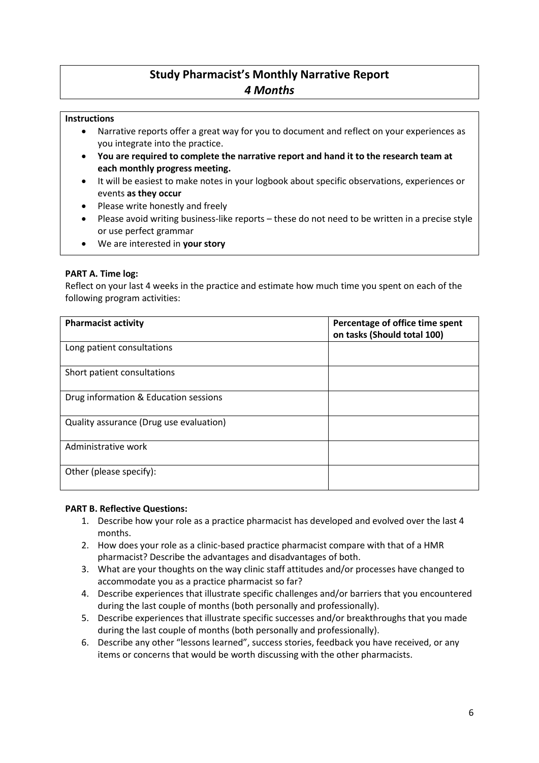# **Study Pharmacist's Monthly Narrative Report** *4 Months*

# **Instructions**

- Narrative reports offer a great way for you to document and reflect on your experiences as you integrate into the practice.
- **You are required to complete the narrative report and hand it to the research team at each monthly progress meeting.**
- It will be easiest to make notes in your logbook about specific observations, experiences or events **as they occur**
- Please write honestly and freely
- Please avoid writing business-like reports these do not need to be written in a precise style or use perfect grammar
- We are interested in **your story**

## **PART A. Time log:**

Reflect on your last 4 weeks in the practice and estimate how much time you spent on each of the following program activities:

| <b>Pharmacist activity</b>              | Percentage of office time spent<br>on tasks (Should total 100) |
|-----------------------------------------|----------------------------------------------------------------|
| Long patient consultations              |                                                                |
| Short patient consultations             |                                                                |
| Drug information & Education sessions   |                                                                |
| Quality assurance (Drug use evaluation) |                                                                |
| Administrative work                     |                                                                |
| Other (please specify):                 |                                                                |

## **PART B. Reflective Questions:**

- 1. Describe how your role as a practice pharmacist has developed and evolved over the last 4 months.
- 2. How does your role as a clinic-based practice pharmacist compare with that of a HMR pharmacist? Describe the advantages and disadvantages of both.
- 3. What are your thoughts on the way clinic staff attitudes and/or processes have changed to accommodate you as a practice pharmacist so far?
- 4. Describe experiences that illustrate specific challenges and/or barriers that you encountered during the last couple of months (both personally and professionally).
- 5. Describe experiences that illustrate specific successes and/or breakthroughs that you made during the last couple of months (both personally and professionally).
- 6. Describe any other "lessons learned", success stories, feedback you have received, or any items or concerns that would be worth discussing with the other pharmacists.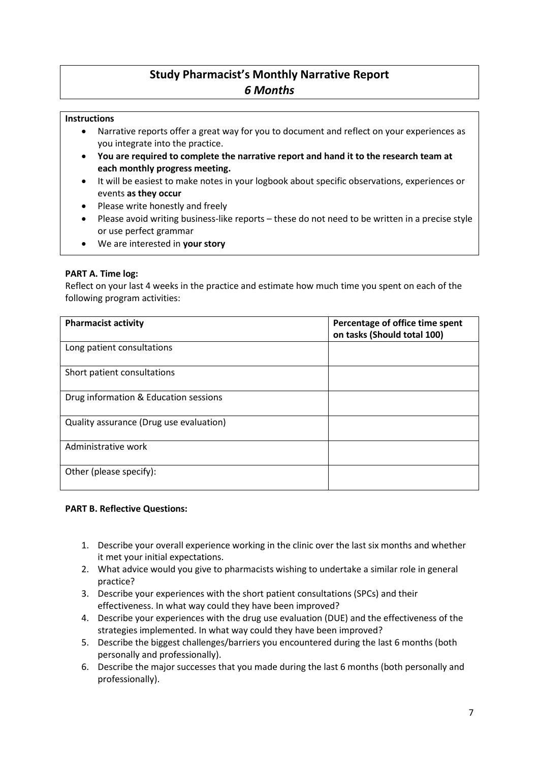# **Study Pharmacist's Monthly Narrative Report** *6 Months*

# **Instructions**

- Narrative reports offer a great way for you to document and reflect on your experiences as you integrate into the practice.
- **You are required to complete the narrative report and hand it to the research team at each monthly progress meeting.**
- It will be easiest to make notes in your logbook about specific observations, experiences or events **as they occur**
- Please write honestly and freely
- Please avoid writing business-like reports these do not need to be written in a precise style or use perfect grammar
- We are interested in **your story**

## **PART A. Time log:**

Reflect on your last 4 weeks in the practice and estimate how much time you spent on each of the following program activities:

| <b>Pharmacist activity</b>              | Percentage of office time spent<br>on tasks (Should total 100) |
|-----------------------------------------|----------------------------------------------------------------|
| Long patient consultations              |                                                                |
| Short patient consultations             |                                                                |
| Drug information & Education sessions   |                                                                |
| Quality assurance (Drug use evaluation) |                                                                |
| Administrative work                     |                                                                |
| Other (please specify):                 |                                                                |

## **PART B. Reflective Questions:**

- 1. Describe your overall experience working in the clinic over the last six months and whether it met your initial expectations.
- 2. What advice would you give to pharmacists wishing to undertake a similar role in general practice?
- 3. Describe your experiences with the short patient consultations (SPCs) and their effectiveness. In what way could they have been improved?
- 4. Describe your experiences with the drug use evaluation (DUE) and the effectiveness of the strategies implemented. In what way could they have been improved?
- 5. Describe the biggest challenges/barriers you encountered during the last 6 months (both personally and professionally).
- 6. Describe the major successes that you made during the last 6 months (both personally and professionally).